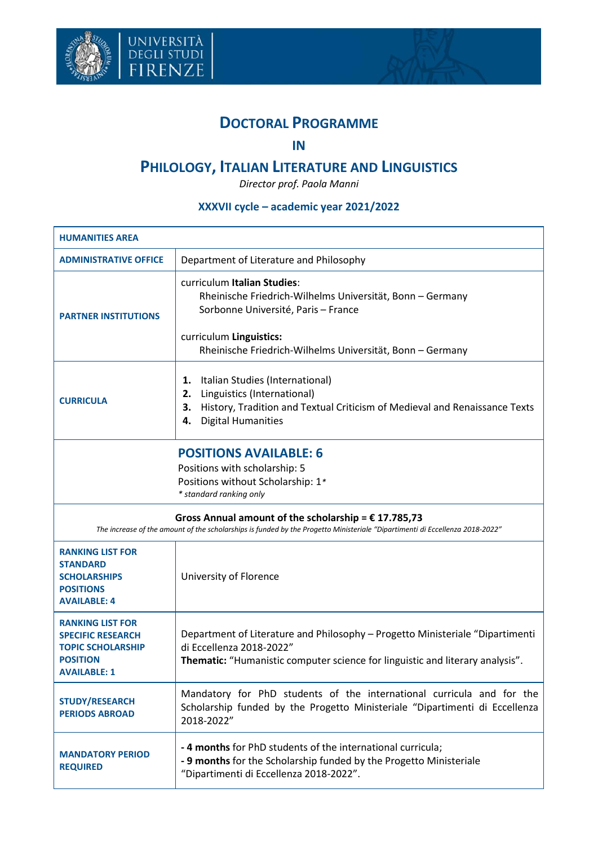



## **DOCTORAL PROGRAMME**

## **IN**

## **PHILOLOGY, ITALIAN LITERATURE AND LINGUISTICS**

*Director prof. Paola Manni*

## **XXXVII cycle – academic year 2021/2022**

| <b>HUMANITIES AREA</b>                                                                                                                                                                 |                                                                                                                                                                                                                         |  |  |
|----------------------------------------------------------------------------------------------------------------------------------------------------------------------------------------|-------------------------------------------------------------------------------------------------------------------------------------------------------------------------------------------------------------------------|--|--|
| <b>ADMINISTRATIVE OFFICE</b>                                                                                                                                                           | Department of Literature and Philosophy                                                                                                                                                                                 |  |  |
| <b>PARTNER INSTITUTIONS</b>                                                                                                                                                            | curriculum Italian Studies:<br>Rheinische Friedrich-Wilhelms Universität, Bonn - Germany<br>Sorbonne Université, Paris - France<br>curriculum Linguistics:<br>Rheinische Friedrich-Wilhelms Universität, Bonn - Germany |  |  |
| <b>CURRICULA</b>                                                                                                                                                                       | Italian Studies (International)<br>1.<br>Linguistics (International)<br>2.<br>History, Tradition and Textual Criticism of Medieval and Renaissance Texts<br>З.<br><b>Digital Humanities</b><br>4.                       |  |  |
| <b>POSITIONS AVAILABLE: 6</b><br>Positions with scholarship: 5<br>Positions without Scholarship: 1*<br>* standard ranking only                                                         |                                                                                                                                                                                                                         |  |  |
| Gross Annual amount of the scholarship = $£ 17.785,73$<br>The increase of the amount of the scholarships is funded by the Progetto Ministeriale "Dipartimenti di Eccellenza 2018-2022" |                                                                                                                                                                                                                         |  |  |
| <b>RANKING LIST FOR</b><br><b>STANDARD</b><br><b>SCHOLARSHIPS</b><br><b>POSITIONS</b><br><b>AVAILABLE: 4</b>                                                                           | University of Florence                                                                                                                                                                                                  |  |  |
| <b>RANKING LIST FOR</b><br><b>SPECIFIC RESEARCH</b><br><b>TOPIC SCHOLARSHIP</b><br><b>POSITION</b><br><b>AVAILABLE: 1</b>                                                              | Department of Literature and Philosophy - Progetto Ministeriale "Dipartimenti<br>di Eccellenza 2018-2022"<br>Thematic: "Humanistic computer science for linguistic and literary analysis".                              |  |  |
| <b>STUDY/RESEARCH</b><br><b>PERIODS ABROAD</b>                                                                                                                                         | Mandatory for PhD students of the international curricula and for the<br>Scholarship funded by the Progetto Ministeriale "Dipartimenti di Eccellenza<br>2018-2022"                                                      |  |  |
| <b>MANDATORY PERIOD</b><br><b>REQUIRED</b>                                                                                                                                             | - 4 months for PhD students of the international curricula;<br>- 9 months for the Scholarship funded by the Progetto Ministeriale<br>"Dipartimenti di Eccellenza 2018-2022".                                            |  |  |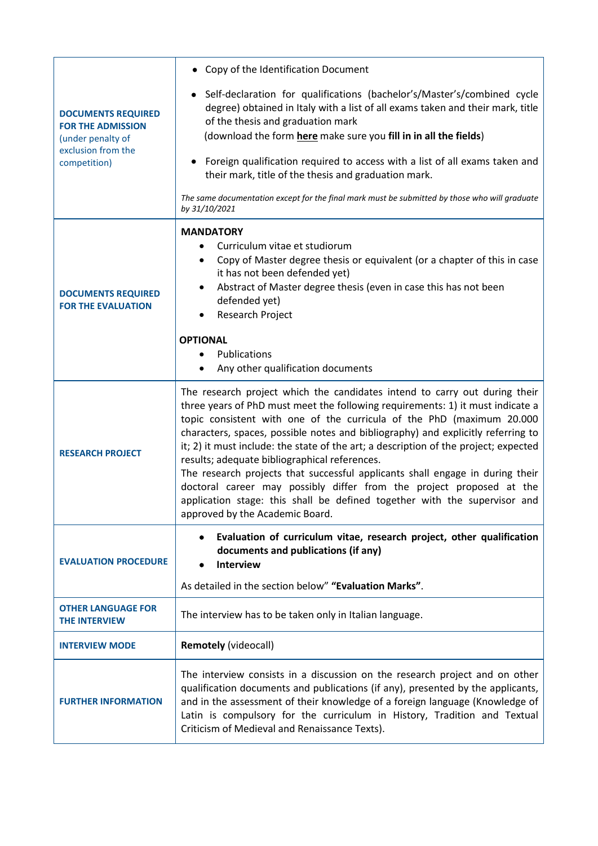|                                                                                                                  | • Copy of the Identification Document                                                                                                                                                                                                                                                                                                                                                                                                                                                                                                                                                                                                                                                                                                       |  |  |
|------------------------------------------------------------------------------------------------------------------|---------------------------------------------------------------------------------------------------------------------------------------------------------------------------------------------------------------------------------------------------------------------------------------------------------------------------------------------------------------------------------------------------------------------------------------------------------------------------------------------------------------------------------------------------------------------------------------------------------------------------------------------------------------------------------------------------------------------------------------------|--|--|
| <b>DOCUMENTS REQUIRED</b><br><b>FOR THE ADMISSION</b><br>(under penalty of<br>exclusion from the<br>competition) | Self-declaration for qualifications (bachelor's/Master's/combined cycle<br>degree) obtained in Italy with a list of all exams taken and their mark, title<br>of the thesis and graduation mark<br>(download the form here make sure you fill in in all the fields)                                                                                                                                                                                                                                                                                                                                                                                                                                                                          |  |  |
|                                                                                                                  | Foreign qualification required to access with a list of all exams taken and<br>their mark, title of the thesis and graduation mark.                                                                                                                                                                                                                                                                                                                                                                                                                                                                                                                                                                                                         |  |  |
|                                                                                                                  | The same documentation except for the final mark must be submitted by those who will graduate<br>by 31/10/2021                                                                                                                                                                                                                                                                                                                                                                                                                                                                                                                                                                                                                              |  |  |
| <b>DOCUMENTS REQUIRED</b><br><b>FOR THE EVALUATION</b>                                                           | <b>MANDATORY</b><br>Curriculum vitae et studiorum<br>Copy of Master degree thesis or equivalent (or a chapter of this in case<br>٠<br>it has not been defended yet)<br>Abstract of Master degree thesis (even in case this has not been<br>$\bullet$<br>defended yet)<br><b>Research Project</b>                                                                                                                                                                                                                                                                                                                                                                                                                                            |  |  |
|                                                                                                                  | <b>OPTIONAL</b><br>Publications<br>Any other qualification documents                                                                                                                                                                                                                                                                                                                                                                                                                                                                                                                                                                                                                                                                        |  |  |
| <b>RESEARCH PROJECT</b>                                                                                          | The research project which the candidates intend to carry out during their<br>three years of PhD must meet the following requirements: 1) it must indicate a<br>topic consistent with one of the curricula of the PhD (maximum 20.000<br>characters, spaces, possible notes and bibliography) and explicitly referring to<br>it; 2) it must include: the state of the art; a description of the project; expected<br>results; adequate bibliographical references.<br>The research projects that successful applicants shall engage in during their<br>doctoral career may possibly differ from the project proposed at the<br>application stage: this shall be defined together with the supervisor and<br>approved by the Academic Board. |  |  |
| <b>EVALUATION PROCEDURE</b>                                                                                      | Evaluation of curriculum vitae, research project, other qualification<br>٠<br>documents and publications (if any)<br><b>Interview</b>                                                                                                                                                                                                                                                                                                                                                                                                                                                                                                                                                                                                       |  |  |
|                                                                                                                  | As detailed in the section below" "Evaluation Marks".                                                                                                                                                                                                                                                                                                                                                                                                                                                                                                                                                                                                                                                                                       |  |  |
| <b>OTHER LANGUAGE FOR</b><br><b>THE INTERVIEW</b>                                                                | The interview has to be taken only in Italian language.                                                                                                                                                                                                                                                                                                                                                                                                                                                                                                                                                                                                                                                                                     |  |  |
| <b>INTERVIEW MODE</b>                                                                                            | <b>Remotely (videocall)</b>                                                                                                                                                                                                                                                                                                                                                                                                                                                                                                                                                                                                                                                                                                                 |  |  |
| <b>FURTHER INFORMATION</b>                                                                                       | The interview consists in a discussion on the research project and on other<br>qualification documents and publications (if any), presented by the applicants,<br>and in the assessment of their knowledge of a foreign language (Knowledge of<br>Latin is compulsory for the curriculum in History, Tradition and Textual<br>Criticism of Medieval and Renaissance Texts).                                                                                                                                                                                                                                                                                                                                                                 |  |  |